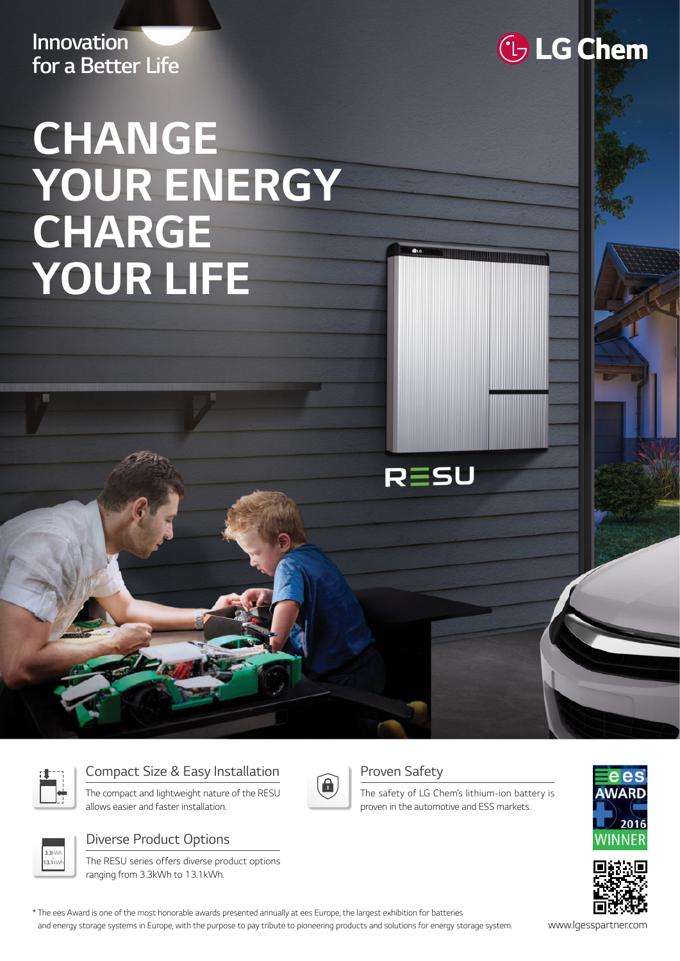**Innovation for a Better Life**

# **CHANGE YOUR ENERGY CHARGE YOUR LIFE**



## Compact Size & Easy Installation

The compact and lightweight nature of the RESU allows easier and faster installation.



#### Diverse Product Options

The RESU series offers diverse product options ranging from 3.3kWh to 13.1kWh.

\* The ees Award is one of the most honorable awards presented annually at ees Europe, the largest exhibition for batteries and energy storage systems in Europe, with the purpose to pay tribute to pioneering products and solutions for energy storage system. www.lgesspartner.com





#### Proven Safety

RESU

The safety of LG Chem's lithium-ion battery is proven in the automotive and ESS markets.